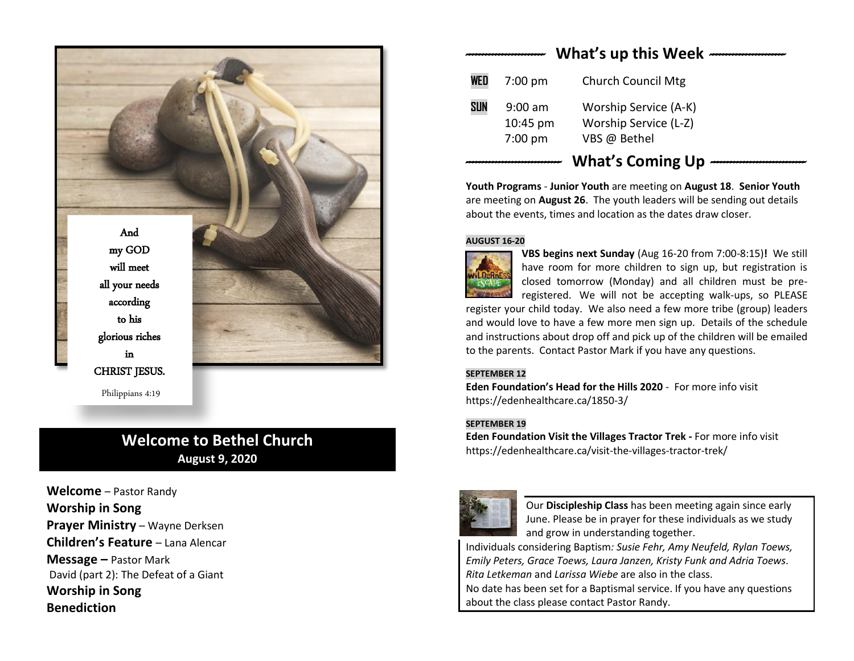



Philippians 4:19

# **Welcome to Bethel Church August 9, 2020**

**Welcome** – Pastor Randy **Worship in Song Prayer Ministry** – Wayne Derksen **Children's Feature** – Lana Alencar **Message –** Pastor Mark David (part 2): The Defeat of a Giant **Worship in Song Benediction**

| What's up this Week |                                    |                                                                |
|---------------------|------------------------------------|----------------------------------------------------------------|
| WED                 | $7:00$ pm                          | <b>Church Council Mtg</b>                                      |
| <b>SUN</b>          | $9:00$ am<br>10:45 pm<br>$7:00$ pm | Worship Service (A-K)<br>Worship Service (L-Z)<br>VBS @ Bethel |
|                     |                                    | <b>What's Coming Up</b>                                        |

**Youth Programs** - **Junior Youth** are meeting on **August 18**. **Senior Youth** are meeting on **August 26**. The youth leaders will be sending out details about the events, times and location as the dates draw closer.

#### **AUGUST 16-20**



**VBS begins next Sunday** (Aug 16-20 from 7:00-8:15)**!** We still have room for more children to sign up, but registration is closed tomorrow (Monday) and all children must be preregistered. We will not be accepting walk-ups, so PLEASE

register your child today. We also need a few more tribe (group) leaders and would love to have a few more men sign up. Details of the schedule and instructions about drop off and pick up of the children will be emailed to the parents. Contact Pastor Mark if you have any questions.

### **SEPTEMBER 12**

**Eden Foundation's Head for the Hills 2020** - For more info visit <https://edenhealthcare.ca/1850-3/>

### **SEPTEMBER 19**

**Eden Foundation Visit the Villages Tractor Trek -** For more info visit <https://edenhealthcare.ca/visit-the-villages-tractor-trek/>



Our **Discipleship Class** has been meeting again since early June. Please be in prayer for these individuals as we study and grow in understanding together.

Individuals considering Baptism*: Susie Fehr, Amy Neufeld, Rylan Toews, Emily Peters, Grace Toews, Laura Janzen, Kristy Funk and Adria Toews*. *Rita Letkeman* and *Larissa Wiebe* are also in the class.

No date has been set for a Baptismal service. If you have any questions about the class please contact Pastor Randy.